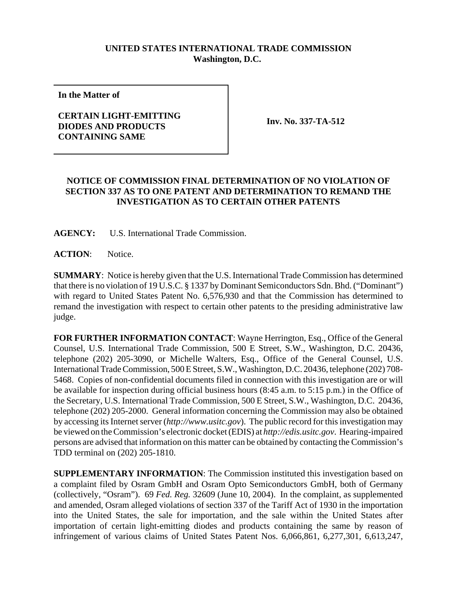## **UNITED STATES INTERNATIONAL TRADE COMMISSION Washington, D.C.**

**In the Matter of**

## **CERTAIN LIGHT-EMITTING DIODES AND PRODUCTS CONTAINING SAME**

**Inv. No. 337-TA-512**

## **NOTICE OF COMMISSION FINAL DETERMINATION OF NO VIOLATION OF SECTION 337 AS TO ONE PATENT AND DETERMINATION TO REMAND THE INVESTIGATION AS TO CERTAIN OTHER PATENTS**

**AGENCY:** U.S. International Trade Commission.

ACTION: Notice.

**SUMMARY**: Notice is hereby given that the U.S. International Trade Commission has determined that there is no violation of 19 U.S.C. § 1337 by Dominant Semiconductors Sdn. Bhd. ("Dominant") with regard to United States Patent No. 6,576,930 and that the Commission has determined to remand the investigation with respect to certain other patents to the presiding administrative law judge.

**FOR FURTHER INFORMATION CONTACT**: Wayne Herrington, Esq., Office of the General Counsel, U.S. International Trade Commission, 500 E Street, S.W., Washington, D.C. 20436, telephone (202) 205-3090, or Michelle Walters, Esq., Office of the General Counsel, U.S. International Trade Commission, 500 E Street, S.W., Washington, D.C. 20436, telephone (202) 708- 5468. Copies of non-confidential documents filed in connection with this investigation are or will be available for inspection during official business hours (8:45 a.m. to 5:15 p.m.) in the Office of the Secretary, U.S. International Trade Commission, 500 E Street, S.W., Washington, D.C. 20436, telephone (202) 205-2000. General information concerning the Commission may also be obtained by accessing its Internet server (*http://www.usitc.gov*). The public record for this investigation may be viewed on the Commission's electronic docket (EDIS) at *http://edis.usitc.gov*. Hearing-impaired persons are advised that information on this matter can be obtained by contacting the Commission's TDD terminal on (202) 205-1810.

**SUPPLEMENTARY INFORMATION**: The Commission instituted this investigation based on a complaint filed by Osram GmbH and Osram Opto Semiconductors GmbH, both of Germany (collectively, "Osram"). 69 *Fed. Reg.* 32609 (June 10, 2004). In the complaint, as supplemented and amended, Osram alleged violations of section 337 of the Tariff Act of 1930 in the importation into the United States, the sale for importation, and the sale within the United States after importation of certain light-emitting diodes and products containing the same by reason of infringement of various claims of United States Patent Nos. 6,066,861, 6,277,301, 6,613,247,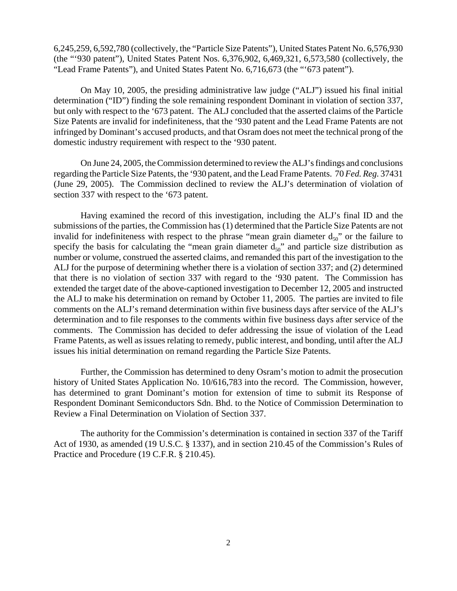6,245,259, 6,592,780 (collectively, the "Particle Size Patents"), United States Patent No. 6,576,930 (the "'930 patent"), United States Patent Nos. 6,376,902, 6,469,321, 6,573,580 (collectively, the "Lead Frame Patents"), and United States Patent No. 6,716,673 (the "'673 patent").

On May 10, 2005, the presiding administrative law judge ("ALJ") issued his final initial determination ("ID") finding the sole remaining respondent Dominant in violation of section 337, but only with respect to the '673 patent. The ALJ concluded that the asserted claims of the Particle Size Patents are invalid for indefiniteness, that the '930 patent and the Lead Frame Patents are not infringed by Dominant's accused products, and that Osram does not meet the technical prong of the domestic industry requirement with respect to the '930 patent.

On June 24, 2005, the Commission determined to review the ALJ's findings and conclusions regarding the Particle Size Patents, the '930 patent, and the Lead Frame Patents. 70 *Fed. Reg.* 37431 (June 29, 2005). The Commission declined to review the ALJ's determination of violation of section 337 with respect to the '673 patent.

Having examined the record of this investigation, including the ALJ's final ID and the submissions of the parties, the Commission has (1) determined that the Particle Size Patents are not invalid for indefiniteness with respect to the phrase "mean grain diameter  $d_{50}$ " or the failure to specify the basis for calculating the "mean grain diameter  $d_{50}$ " and particle size distribution as number or volume, construed the asserted claims, and remanded this part of the investigation to the ALJ for the purpose of determining whether there is a violation of section 337; and (2) determined that there is no violation of section 337 with regard to the '930 patent. The Commission has extended the target date of the above-captioned investigation to December 12, 2005 and instructed the ALJ to make his determination on remand by October 11, 2005. The parties are invited to file comments on the ALJ's remand determination within five business days after service of the ALJ's determination and to file responses to the comments within five business days after service of the comments. The Commission has decided to defer addressing the issue of violation of the Lead Frame Patents, as well as issues relating to remedy, public interest, and bonding, until after the ALJ issues his initial determination on remand regarding the Particle Size Patents.

Further, the Commission has determined to deny Osram's motion to admit the prosecution history of United States Application No. 10/616,783 into the record. The Commission, however, has determined to grant Dominant's motion for extension of time to submit its Response of Respondent Dominant Semiconductors Sdn. Bhd. to the Notice of Commission Determination to Review a Final Determination on Violation of Section 337.

The authority for the Commission's determination is contained in section 337 of the Tariff Act of 1930, as amended (19 U.S.C. § 1337), and in section 210.45 of the Commission's Rules of Practice and Procedure (19 C.F.R. § 210.45).